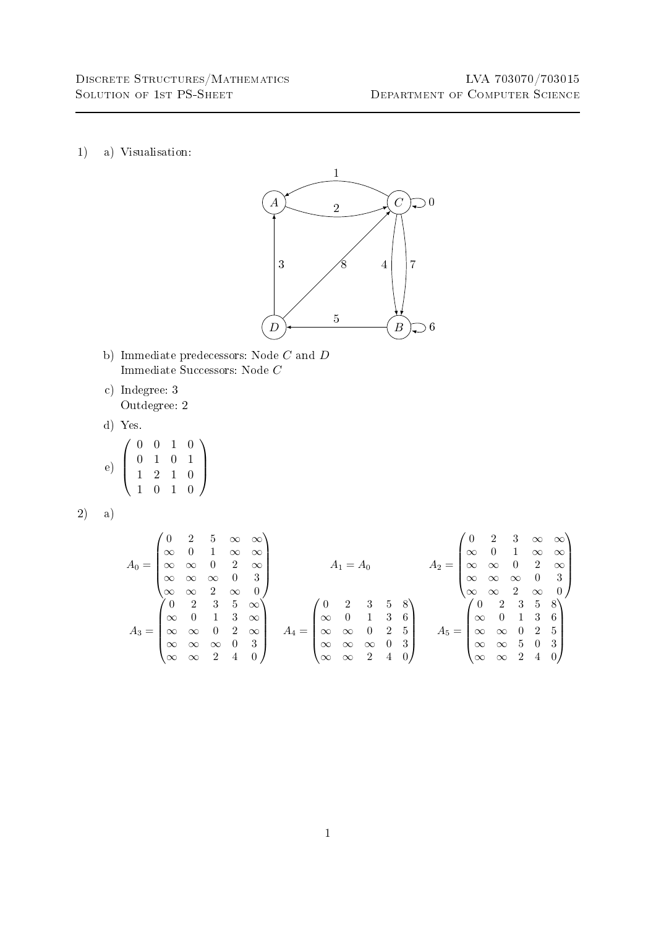1) a) Visualisation:

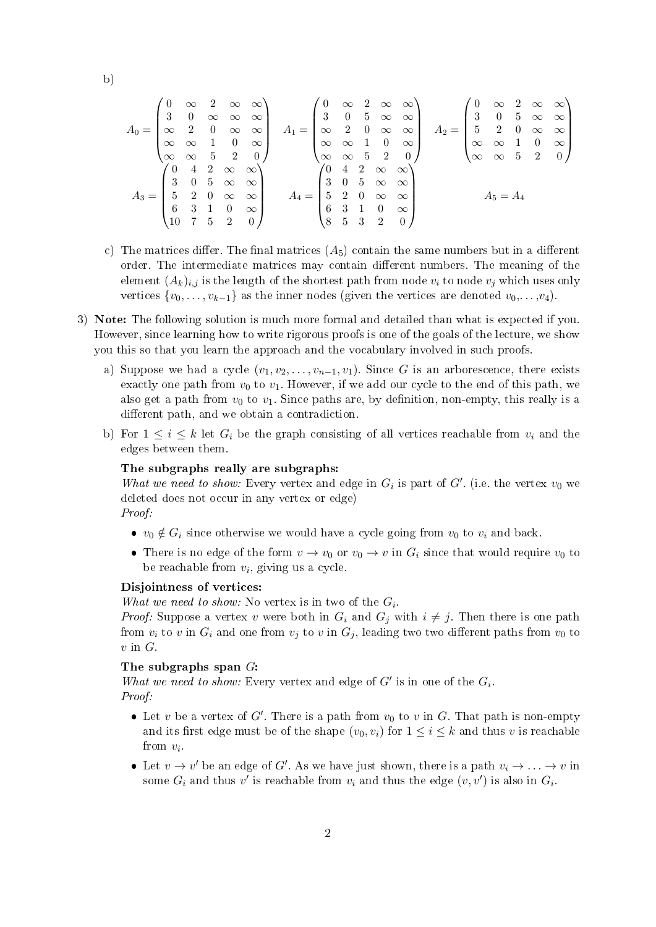b)

$$
A_0 = \begin{pmatrix} 0 & \infty & 2 & \infty & \infty \\ 3 & 0 & \infty & \infty & \infty \\ \infty & 2 & 0 & \infty & \infty \\ \infty & \infty & 1 & 0 & \infty \\ \infty & \infty & 5 & 2 & 0 \end{pmatrix} \quad A_1 = \begin{pmatrix} 0 & \infty & 2 & \infty & \infty \\ 3 & 0 & 5 & \infty & \infty \\ \infty & 2 & 0 & \infty & \infty \\ \infty & \infty & 1 & 0 & \infty \\ \infty & \infty & 5 & 2 & 0 \end{pmatrix} \quad A_2 = \begin{pmatrix} 0 & \infty & 2 & \infty & \infty \\ 3 & 0 & 5 & \infty & \infty \\ 5 & 2 & 0 & \infty & \infty \\ \infty & \infty & 1 & 0 & \infty \\ \infty & \infty & 5 & 2 & 0 \end{pmatrix}
$$

$$
A_3 = \begin{pmatrix} 0 & 4 & 2 & \infty & \infty \\ 3 & 0 & 5 & \infty & \infty \\ 3 & 0 & 5 & \infty & \infty \\ 5 & 2 & 0 & \infty & \infty \\ 6 & 3 & 1 & 0 & \infty \\ 10 & 7 & 5 & 2 & 0 \end{pmatrix} \quad A_4 = \begin{pmatrix} 0 & 4 & 2 & \infty & \infty \\ 3 & 0 & 5 & \infty & \infty \\ 3 & 0 & 5 & \infty & \infty \\ 5 & 2 & 0 & \infty & \infty \\ 6 & 3 & 1 & 0 & \infty \\ 8 & 5 & 3 & 2 & 0 \end{pmatrix} \quad A_5 = A_4
$$

- c) The matrices differ. The final matrices  $(A_5)$  contain the same numbers but in a different order. The intermediate matrices may contain different numbers. The meaning of the element  $(A_k)_{i,j}$  is the length of the shortest path from node  $v_i$  to node  $v_j$  which uses only vertices  $\{v_0, \ldots, v_{k-1}\}\$ as the inner nodes (given the vertices are denoted  $v_0, \ldots, v_4$ ).
- 3) Note: The following solution is much more formal and detailed than what is expected if you. However, since learning how to write rigorous proofs is one of the goals of the lecture, we show you this so that you learn the approach and the vocabulary involved in such proofs.
	- a) Suppose we had a cycle  $(v_1, v_2, \ldots, v_{n-1}, v_1)$ . Since G is an arborescence, there exists exactly one path from  $v_0$  to  $v_1$ . However, if we add our cycle to the end of this path, we also get a path from  $v_0$  to  $v_1$ . Since paths are, by definition, non-empty, this really is a different path, and we obtain a contradiction.
	- b) For  $1 \leq i \leq k$  let  $G_i$  be the graph consisting of all vertices reachable from  $v_i$  and the edges between them.

## The subgraphs really are subgraphs:

What we need to show: Every vertex and edge in  $G_i$  is part of  $G'$ . (i.e. the vertex  $v_0$  we deleted does not occur in any vertex or edge) Proof:

- $v_0 \notin G_i$  since otherwise we would have a cycle going from  $v_0$  to  $v_i$  and back.
- There is no edge of the form  $v \to v_0$  or  $v_0 \to v$  in  $G_i$  since that would require  $v_0$  to be reachable from  $v_i$ , giving us a cycle.

## Disjointness of vertices:

What we need to show: No vertex is in two of the  $G_i$ .

*Proof:* Suppose a vertex v were both in  $G_i$  and  $G_j$  with  $i \neq j$ . Then there is one path from  $v_i$  to v in  $G_i$  and one from  $v_j$  to v in  $G_j$ , leading two two different paths from  $v_0$  to  $v$  in  $G$ .

## The subgraphs span G:

What we need to show: Every vertex and edge of  $G'$  is in one of the  $G_i$ . Proof:

- Let v be a vertex of  $G'$ . There is a path from  $v_0$  to v in G. That path is non-empty and its first edge must be of the shape  $(v_0, v_i)$  for  $1 \le i \le k$  and thus v is reachable from  $v_i$ .
- Let  $v \to v'$  be an edge of G'. As we have just shown, there is a path  $v_i \to \ldots \to v$  in some  $G_i$  and thus  $v'$  is reachable from  $v_i$  and thus the edge  $(v, v')$  is also in  $G_i$ .